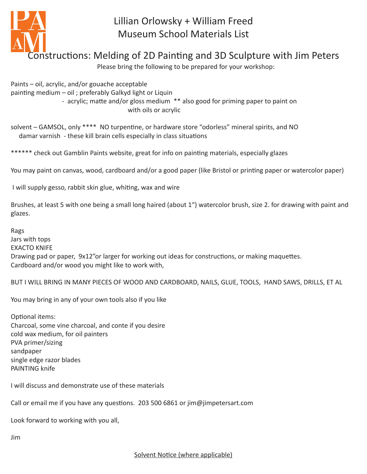

## Lillian Orlowsky + William Freed Museum School Materials List

## Constructions: Melding of 2D Painting and 3D Sculpture with Jim Peters

Please bring the following to be prepared for your workshop:

Paints – oil, acrylic, and/or gouache acceptable painting medium – oil ; preferably Galkyd light or Liquin - acrylic; matte and/or gloss medium \*\* also good for priming paper to paint on with oils or acrylic

solvent – GAMSOL, only \*\*\*\* NO turpentine, or hardware store "odorless" mineral spirits, and NO damar varnish - these kill brain cells especially in class situations

\*\*\*\*\*\* check out Gamblin Paints website, great for info on painting materials, especially glazes

You may paint on canvas, wood, cardboard and/or a good paper (like Bristol or printing paper or watercolor paper)

I will supply gesso, rabbit skin glue, whiting, wax and wire

Brushes, at least 5 with one being a small long haired (about 1") watercolor brush, size 2. for drawing with paint and glazes.

Rags Jars with tops EXACTO KNIFE Drawing pad or paper, 9x12"or larger for working out ideas for constructions, or making maquettes. Cardboard and/or wood you might like to work with,

BUT I WILL BRING IN MANY PIECES OF WOOD AND CARDBOARD, NAILS, GLUE, TOOLS, HAND SAWS, DRILLS, ET AL

You may bring in any of your own tools also if you like

Optional items: Charcoal, some vine charcoal, and conte if you desire cold wax medium, for oil painters PVA primer/sizing sandpaper single edge razor blades PAINTING knife

I will discuss and demonstrate use of these materials

Call or email me if you have any questions. 203 500 6861 or jim@jimpetersart.com

Look forward to working with you all,

Jim

Solvent Notice (where applicable)